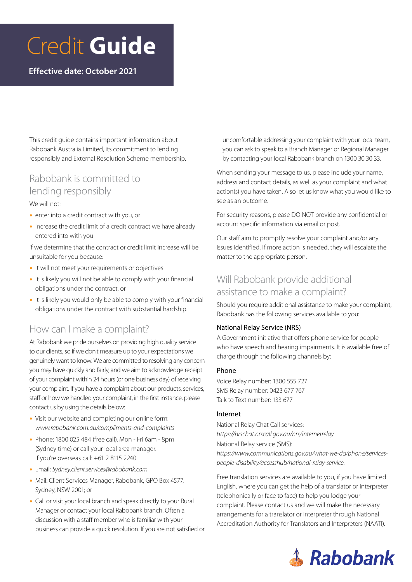# Credit **Guide**

**Effective date: October 2021**

This credit guide contains important information about Rabobank Australia Limited, its commitment to lending responsibly and External Resolution Scheme membership.

## Rabobank is committed to lending responsibly

We will not:

- enter into a credit contract with you, or
- increase the credit limit of a credit contract we have already entered into with you

if we determine that the contract or credit limit increase will be unsuitable for you because:

- it will not meet your requirements or objectives
- $\bullet$  it is likely you will not be able to comply with your financial obligations under the contract, or
- $\bullet$  it is likely you would only be able to comply with your financial obligations under the contract with substantial hardship.

## How can I make a complaint?

At Rabobank we pride ourselves on providing high quality service to our clients, so if we don't measure up to your expectations we genuinely want to know. We are committed to resolving any concern you may have quickly and fairly, and we aim to acknowledge receipt of your complaint within 24 hours (or one business day) of receiving your complaint. If you have a complaint about our products, services, staff or how we handled your complaint, in the first instance, please contact us by using the details below:

- Visit our website and completing our online form: *www.rabobank.com.au/compliments-and-complaints*
- Phone: 1800 025 484 (free call), Mon Fri 6am 8pm (Sydney time) or call your local area manager. If you're overseas call: +61 2 8115 2240
- y Email: *Sydney.client.services@rabobank.com*
- Mail: Client Services Manager, Rabobank, GPO Box 4577, Sydney, NSW 2001; or
- Call or visit your local branch and speak directly to your Rural Manager or contact your local Rabobank branch. Often a discussion with a staff member who is familiar with your business can provide a quick resolution. If you are not satisfied or

uncomfortable addressing your complaint with your local team, you can ask to speak to a Branch Manager or Regional Manager by contacting your local Rabobank branch on 1300 30 30 33.

When sending your message to us, please include your name, address and contact details, as well as your complaint and what action(s) you have taken. Also let us know what you would like to see as an outcome.

For security reasons, please DO NOT provide any confidential or account specific information via email or post.

Our staff aim to promptly resolve your complaint and/or any issues identified. If more action is needed, they will escalate the matter to the appropriate person.

## Will Rabobank provide additional assistance to make a complaint?

Should you require additional assistance to make your complaint, Rabobank has the following services available to you:

#### National Relay Service (NRS)

A Government initiative that offers phone service for people who have speech and hearing impairments. It is available free of charge through the following channels by:

#### Phone

Voice Relay number: 1300 555 727 SMS Relay number: 0423 677 767 Talk to Text number: 133 677

#### Internet

National Relay Chat Call services: *https://nrschat.nrscall.gov.au/nrs/internetrelay* National Relay service (SMS): *https://www.communications.gov.au/what-we-do/phone/servicespeople-disability/accesshub/national-relay-service.*

Free translation services are available to you, if you have limited English, where you can get the help of a translator or interpreter (telephonically or face to face) to help you lodge your complaint. Please contact us and we will make the necessary arrangements for a translator or interpreter through National Accreditation Authority for Translators and Interpreters (NAATI).